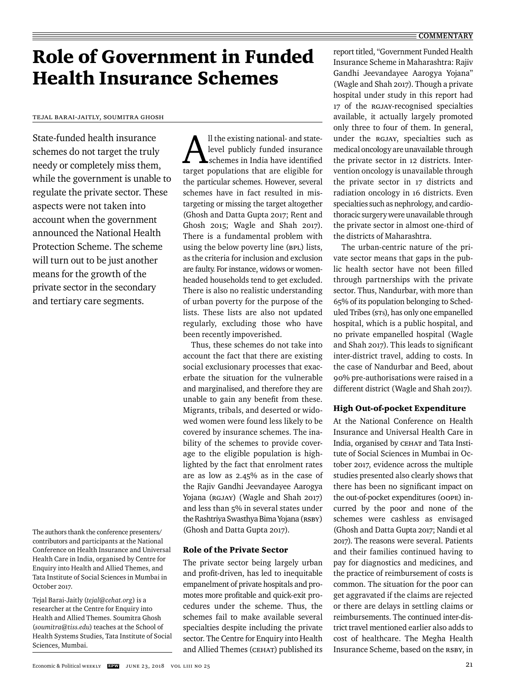#### **COMMENTARY**

# Role of Government in Funded Health Insurance Schemes

Tejal Barai-Jaitly, Soumitra Ghosh

State-funded health insurance schemes do not target the truly needy or completely miss them, while the government is unable to regulate the private sector. These aspects were not taken into account when the government announced the National Health Protection Scheme. The scheme will turn out to be just another means for the growth of the private sector in the secondary and tertiary care segments.

The authors thank the conference presenters/ contributors and participants at the National Conference on Health Insurance and Universal Health Care in India, organised by Centre for Enquiry into Health and Allied Themes, and Tata Institute of Social Sciences in Mumbai in October 2017.

Tejal Barai-Jaitly (*tejal@cehat.org*) is a researcher at the Centre for Enquiry into Health and Allied Themes. Soumitra Ghosh (*soumitra@tiss.edu*) teaches at the School of Health Systems Studies, Tata Institute of Social Sciences, Mumbai.

All the existing national- and state-<br>level publicly funded insurance<br>schemes in India have identified level publicly funded insurance schemes in India have identified target populations that are eligible for the particular schemes. However, several schemes have in fact resulted in mistargeting or missing the target altogether (Ghosh and Datta Gupta 2017; Rent and Ghosh 2015; Wagle and Shah 2017). There is a fundamental problem with using the below poverty line (BPL) lists, as the criteria for inclusion and exclusion are faulty. For instance, widows or womenheaded households tend to get excluded. There is also no realistic understanding of urban poverty for the purpose of the lists. These lists are also not updated regularly, excluding those who have been recently impoverished.

Thus, these schemes do not take into account the fact that there are existing social exclusionary processes that exacerbate the situation for the vulnerable and marginalised, and therefore they are unable to gain any benefit from these. Migrants, tribals, and deserted or widowed women were found less likely to be covered by insurance schemes. The inability of the schemes to provide coverage to the eligible population is highlighted by the fact that enrolment rates are as low as 2.45% as in the case of the Rajiv Gandhi Jeevandayee Aarogya Yojana (RGJAY) (Wagle and Shah 2017) and less than 5% in several states under the Rashtriya Swasthya Bima Yojana (RSBY) (Ghosh and Datta Gupta 2017).

#### Role of the Private Sector

The private sector being largely urban and profit-driven, has led to inequitable empanelment of private hospitals and promotes more profitable and quick-exit procedures under the scheme. Thus, the schemes fail to make available several specialties despite including the private sector. The Centre for Enquiry into Health and Allied Themes (CEHAT) published its

report titled, "Government Funded Health Insurance Scheme in Maharashtra: Rajiv Gandhi Jeevandayee Aarogya Yojana" (Wagle and Shah 2017). Though a private hospital under study in this report had 17 of the RGJAY-recognised specialties available, it actually largely promoted only three to four of them. In general, under the RGJAY, specialties such as medical oncology are unavailable through the private sector in 12 districts. Intervention oncology is unavailable through the private sector in 17 districts and radiation oncology in 16 districts. Even specialties such as nephrology, and cardiothoracic surgery were unavailable through the private sector in almost one-third of the districts of Maharashtra.

The urban-centric nature of the private sector means that gaps in the public health sector have not been filled through partnerships with the private sector. Thus, Nandurbar, with more than 65% of its population belonging to Scheduled Tribes (STs), has only one empanelled hospital, which is a public hospital, and no private empanelled hospital (Wagle and Shah 2017). This leads to significant inter-district travel, adding to costs. In the case of Nandurbar and Beed, about 90% pre-authorisations were raised in a different district (Wagle and Shah 2017).

### High Out-of-pocket Expenditure

At the National Conference on Health Insurance and Universal Health Care in India, organised by CEHAT and Tata Institute of Social Sciences in Mumbai in October 2017, evidence across the multiple studies presented also clearly shows that there has been no significant impact on the out-of-pocket expenditures (OOPE) incurred by the poor and none of the schemes were cashless as envisaged (Ghosh and Datta Gupta 2017; Nandi et al 2017). The reasons were several. Patients and their families continued having to pay for diagnostics and medicines, and the practice of reimbursement of costs is common. The situation for the poor can get aggravated if the claims are rejected or there are delays in settling claims or reimbursements. The continued inter-district travel mentioned earlier also adds to cost of healthcare. The Megha Health Insurance Scheme, based on the RSBY, in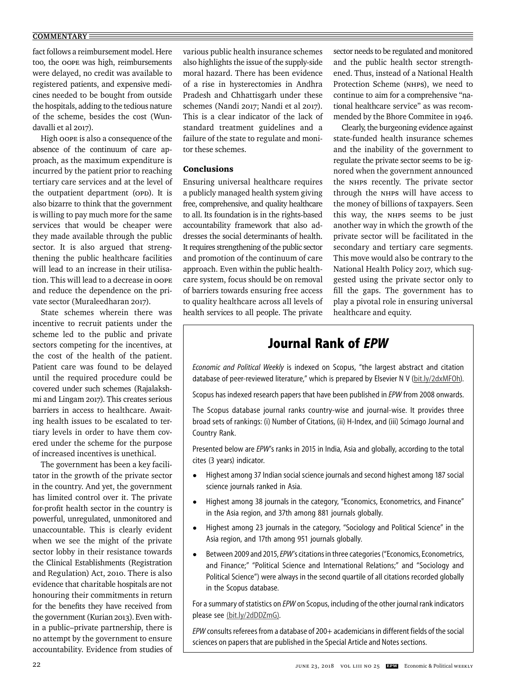#### **COMMENTARY**

fact follows a reimbursement model. Here too, the OOPE was high, reimbursements were delayed, no credit was available to registered patients, and expensive medicines needed to be bought from outside the hospitals, adding to the tedious nature of the scheme, besides the cost (Wundavalli et al 2017).

High OOPE is also a consequence of the absence of the continuum of care approach, as the maximum expenditure is incurred by the patient prior to reaching tertiary care services and at the level of the outpatient department (OPD). It is also bizarre to think that the government is willing to pay much more for the same services that would be cheaper were they made available through the public sector. It is also argued that strengthening the public healthcare facilities will lead to an increase in their utilisation. This will lead to a decrease in OOPE and reduce the dependence on the private sector (Muraleedharan 2017).

State schemes wherein there was incentive to recruit patients under the scheme led to the public and private sectors competing for the incentives, at the cost of the health of the patient. Patient care was found to be delayed until the required procedure could be covered under such schemes (Rajalakshmi and Lingam 2017). This creates serious barriers in access to healthcare. Awaiting health issues to be escalated to tertiary levels in order to have them covered under the scheme for the purpose of increased incentives is unethical.

The government has been a key facilitator in the growth of the private sector in the country. And yet, the government has limited control over it. The private for-profit health sector in the country is powerful, unregulated, unmonitored and unaccountable. This is clearly evident when we see the might of the private sector lobby in their resistance towards the Clinical Establishments (Registration and Regulation) Act, 2010. There is also evidence that charitable hospitals are not honouring their commitments in return for the benefits they have received from the government (Kurian 2013). Even within a public–private partnership, there is no attempt by the government to ensure accountability. Evidence from studies of

various public health insurance schemes also highlights the issue of the supply-side moral hazard. There has been evidence of a rise in hysterectomies in Andhra Pradesh and Chhattisgarh under these schemes (Nandi 2017; Nandi et al 2017). This is a clear indicator of the lack of standard treatment guidelines and a failure of the state to regulate and monitor these schemes.

## Conclusions

Ensuring universal healthcare requires a publicly managed health system giving free, comprehensive, and quality healthcare to all. Its foundation is in the rights-based accountability framework that also addresses the social determinants of health. It requires strengthening of the public sector and promotion of the continuum of care approach. Even within the public healthcare system, focus should be on removal of barriers towards ensuring free access to quality healthcare across all levels of health services to all people. The private sector needs to be regulated and monitored and the public health sector strengthened. Thus, instead of a National Health Protection Scheme (NHPS), we need to continue to aim for a comprehensive "national healthcare service" as was recommended by the Bhore Commitee in 1946.

Clearly, the burgeoning evidence against state-funded health insurance schemes and the inability of the government to regulate the private sector seems to be ignored when the government announced the NHPS recently. The private sector through the NHPS will have access to the money of billions of taxpayers. Seen this way, the NHPS seems to be just another way in which the growth of the private sector will be facilitated in the secondary and tertiary care segments. This move would also be contrary to the National Health Policy 2017, which suggested using the private sector only to fill the gaps. The government has to play a pivotal role in ensuring universal healthcare and equity.

# **Journal Rank of** *EPW*

*Economic and Political Weekly* is indexed on Scopus, "the largest abstract and citation database of peer-reviewed literature," which is prepared by Elsevier N V (bit.ly/2dxMFOh).

Scopus has indexed research papers that have been published in *EPW* from 2008 onwards.

The Scopus database journal ranks country-wise and journal-wise. It provides three broad sets of rankings: (i) Number of Citations, (ii) H-Index, and (iii) Scimago Journal and Country Rank.

Presented below are *EPW*'s ranks in 2015 in India, Asia and globally, according to the total cites (3 years) indicator.

- Highest among 37 Indian social science journals and second highest among 187 social science journals ranked in Asia.
- Highest among 38 journals in the category, "Economics, Econometrics, and Finance" in the Asia region, and 37th among 881 journals globally.
- Highest among 23 journals in the category, "Sociology and Political Science" in the Asia region, and 17th among 951 journals globally.
- Between 2009 and 2015, *EPW's* citations in three categories ("Economics, Econometrics, and Finance;" "Political Science and International Relations;" and "Sociology and Political Science") were always in the second quartile of all citations recorded globally in the Scopus database.

For a summary of statistics on *EPW* on Scopus, including of the other journal rank indicators please see (bit.ly/2dDDZmG).

*EPW* consults referees from a database of 200+ academicians in different fields of the social sciences on papers that are published in the Special Article and Notes sections.